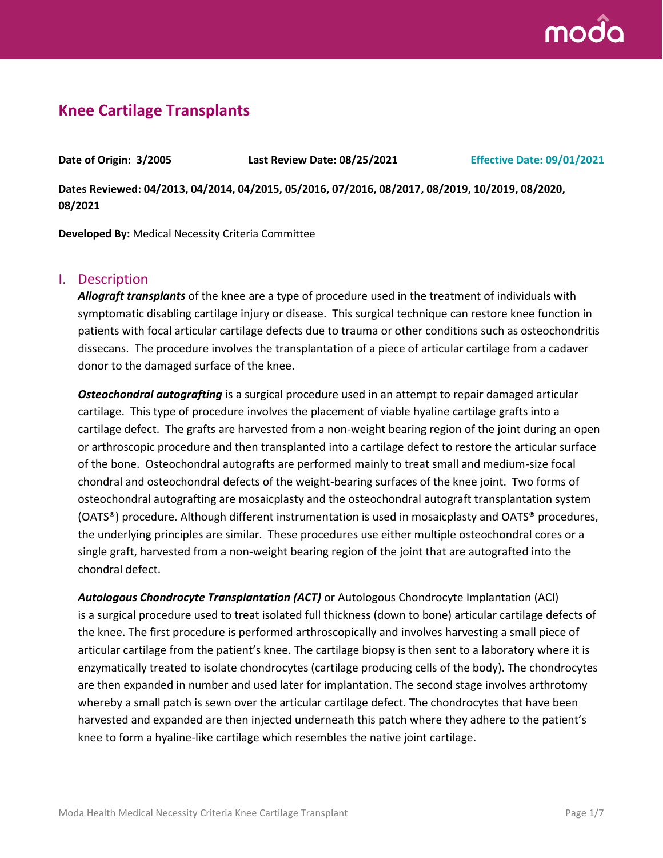

## **Knee Cartilage Transplants**

**Date of Origin: 3/2005 Last Review Date: 08/25/2021 Effective Date: 09/01/2021**

**Dates Reviewed: 04/2013, 04/2014, 04/2015, 05/2016, 07/2016, 08/2017, 08/2019, 10/2019, 08/2020, 08/2021**

**Developed By:** Medical Necessity Criteria Committee

#### I. Description

*Allograft transplants* of the knee are a type of procedure used in the treatment of individuals with symptomatic disabling cartilage injury or disease. This surgical technique can restore knee function in patients with focal articular cartilage defects due to trauma or other conditions such as osteochondritis dissecans. The procedure involves the transplantation of a piece of articular cartilage from a cadaver donor to the damaged surface of the knee.

*Osteochondral autografting* is a surgical procedure used in an attempt to repair damaged articular cartilage. This type of procedure involves the placement of viable hyaline cartilage grafts into a cartilage defect. The grafts are harvested from a non-weight bearing region of the joint during an open or arthroscopic procedure and then transplanted into a cartilage defect to restore the articular surface of the bone. Osteochondral autografts are performed mainly to treat small and medium-size focal chondral and osteochondral defects of the weight-bearing surfaces of the knee joint. Two forms of osteochondral autografting are mosaicplasty and the osteochondral autograft transplantation system (OATS®) procedure. Although different instrumentation is used in mosaicplasty and OATS® procedures, the underlying principles are similar. These procedures use either multiple osteochondral cores or a single graft, harvested from a non-weight bearing region of the joint that are autografted into the chondral defect.

*Autologous Chondrocyte Transplantation (ACT)* or Autologous Chondrocyte Implantation (ACI) is a surgical procedure used to treat isolated full thickness (down to bone) articular cartilage defects of the knee. The first procedure is performed arthroscopically and involves harvesting a small piece of articular cartilage from the patient's knee. The cartilage biopsy is then sent to a laboratory where it is enzymatically treated to isolate chondrocytes (cartilage producing cells of the body). The chondrocytes are then expanded in number and used later for implantation. The second stage involves arthrotomy whereby a small patch is sewn over the articular cartilage defect. The chondrocytes that have been harvested and expanded are then injected underneath this patch where they adhere to the patient's knee to form a hyaline-like cartilage which resembles the native joint cartilage.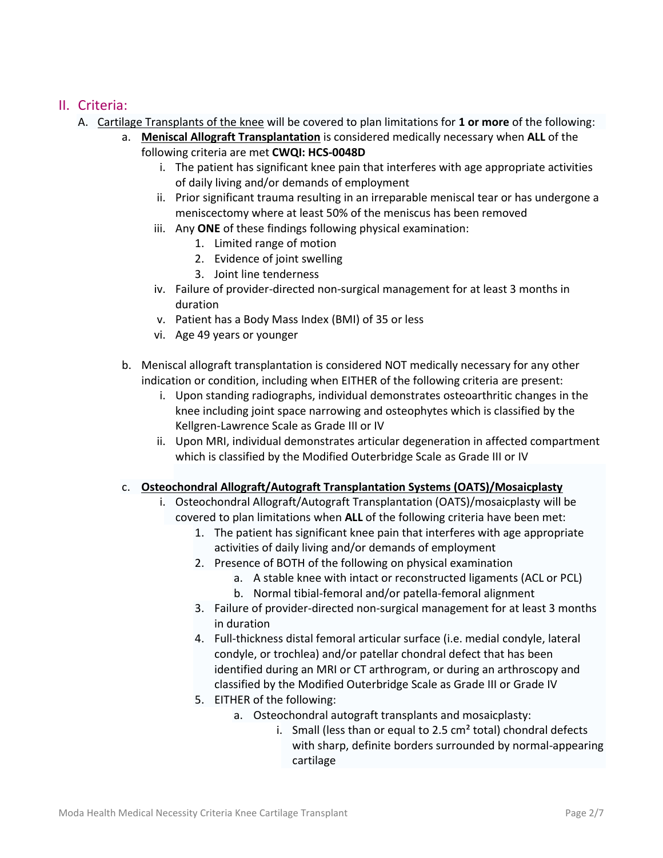### II. Criteria:

- A. Cartilage Transplants of the knee will be covered to plan limitations for **1 or more** of the following:
	- a. **Meniscal Allograft Transplantation** is considered medically necessary when **ALL** of the following criteria are met **CWQI: HCS-0048D**
		- i. The patient has significant knee pain that interferes with age appropriate activities of daily living and/or demands of employment
		- ii. Prior significant trauma resulting in an irreparable meniscal tear or has undergone a meniscectomy where at least 50% of the meniscus has been removed
		- iii. Any **ONE** of these findings following physical examination:
			- 1. Limited range of motion
			- 2. Evidence of joint swelling
			- 3. Joint line tenderness
		- iv. Failure of provider-directed non-surgical management for at least 3 months in duration
		- v. Patient has a Body Mass Index (BMI) of 35 or less
		- vi. Age 49 years or younger
	- b. Meniscal allograft transplantation is considered NOT medically necessary for any other indication or condition, including when EITHER of the following criteria are present:
		- i. Upon standing radiographs, individual demonstrates osteoarthritic changes in the knee including joint space narrowing and osteophytes which is classified by the Kellgren-Lawrence Scale as Grade III or IV
		- ii. Upon MRI, individual demonstrates articular degeneration in affected compartment which is classified by the Modified Outerbridge Scale as Grade III or IV

#### c. **Osteochondral Allograft/Autograft Transplantation Systems (OATS)/Mosaicplasty**

- i. Osteochondral Allograft/Autograft Transplantation (OATS)/mosaicplasty will be covered to plan limitations when **ALL** of the following criteria have been met:
	- 1. The patient has significant knee pain that interferes with age appropriate activities of daily living and/or demands of employment
	- 2. Presence of BOTH of the following on physical examination
		- a. A stable knee with intact or reconstructed ligaments (ACL or PCL)
		- b. Normal tibial-femoral and/or patella-femoral alignment
	- 3. Failure of provider-directed non-surgical management for at least 3 months in duration
	- 4. Full-thickness distal femoral articular surface (i.e. medial condyle, lateral condyle, or trochlea) and/or patellar chondral defect that has been identified during an MRI or CT arthrogram, or during an arthroscopy and classified by the Modified Outerbridge Scale as Grade III or Grade IV
	- 5. EITHER of the following:
		- a. Osteochondral autograft transplants and mosaicplasty:
			- i. Small (less than or equal to 2.5  $cm<sup>2</sup>$  total) chondral defects with sharp, definite borders surrounded by normal-appearing cartilage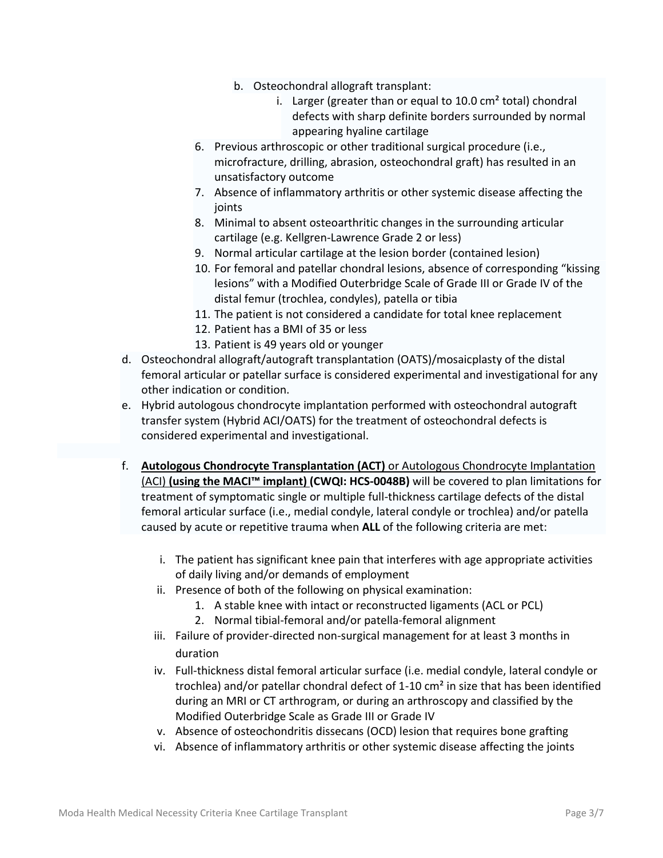- b. Osteochondral allograft transplant:
	- i. Larger (greater than or equal to  $10.0 \text{ cm}^2$  total) chondral defects with sharp definite borders surrounded by normal appearing hyaline cartilage
- 6. Previous arthroscopic or other traditional surgical procedure (i.e., microfracture, drilling, abrasion, osteochondral graft) has resulted in an unsatisfactory outcome
- 7. Absence of inflammatory arthritis or other systemic disease affecting the joints
- 8. Minimal to absent osteoarthritic changes in the surrounding articular cartilage (e.g. Kellgren-Lawrence Grade 2 or less)
- 9. Normal articular cartilage at the lesion border (contained lesion)
- 10. For femoral and patellar chondral lesions, absence of corresponding "kissing lesions" with a Modified Outerbridge Scale of Grade III or Grade IV of the distal femur (trochlea, condyles), patella or tibia
- 11. The patient is not considered a candidate for total knee replacement
- 12. Patient has a BMI of 35 or less
- 13. Patient is 49 years old or younger
- d. Osteochondral allograft/autograft transplantation (OATS)/mosaicplasty of the distal femoral articular or patellar surface is considered experimental and investigational for any other indication or condition.
- e. Hybrid autologous chondrocyte implantation performed with osteochondral autograft transfer system (Hybrid ACI/OATS) for the treatment of osteochondral defects is considered experimental and investigational.
- f. **Autologous Chondrocyte Transplantation (ACT)** or Autologous Chondrocyte Implantation (ACI) **(using the MACI™ implant) (CWQI: HCS-0048B)** will be covered to plan limitations for treatment of symptomatic single or multiple full-thickness cartilage defects of the distal femoral articular surface (i.e., medial condyle, lateral condyle or trochlea) and/or patella caused by acute or repetitive trauma when **ALL** of the following criteria are met:
	- i. The patient has significant knee pain that interferes with age appropriate activities of daily living and/or demands of employment
	- ii. Presence of both of the following on physical examination:
		- 1. A stable knee with intact or reconstructed ligaments (ACL or PCL)
		- 2. Normal tibial-femoral and/or patella-femoral alignment
	- iii. Failure of provider-directed non-surgical management for at least 3 months in duration
	- iv. Full-thickness distal femoral articular surface (i.e. medial condyle, lateral condyle or trochlea) and/or patellar chondral defect of 1-10 cm² in size that has been identified during an MRI or CT arthrogram, or during an arthroscopy and classified by the Modified Outerbridge Scale as Grade III or Grade IV
	- v. Absence of osteochondritis dissecans (OCD) lesion that requires bone grafting
	- vi. Absence of inflammatory arthritis or other systemic disease affecting the joints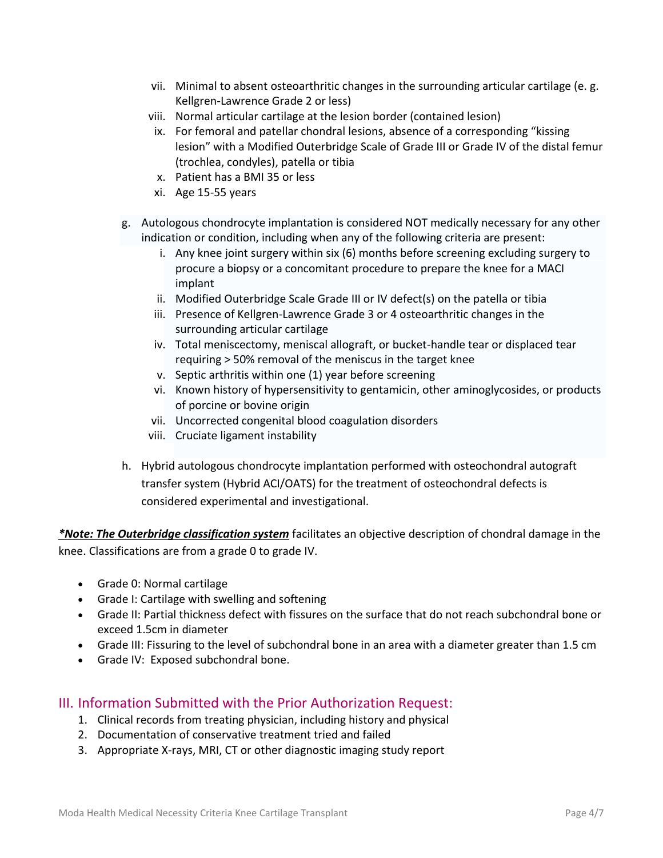- vii. Minimal to absent osteoarthritic changes in the surrounding articular cartilage (e. g. Kellgren-Lawrence Grade 2 or less)
- viii. Normal articular cartilage at the lesion border (contained lesion)
- ix. For femoral and patellar chondral lesions, absence of a corresponding "kissing lesion" with a Modified Outerbridge Scale of Grade III or Grade IV of the distal femur (trochlea, condyles), patella or tibia
- x. Patient has a BMI 35 or less
- xi. Age 15-55 years
- g. Autologous chondrocyte implantation is considered NOT medically necessary for any other indication or condition, including when any of the following criteria are present:
	- i. Any knee joint surgery within six (6) months before screening excluding surgery to procure a biopsy or a concomitant procedure to prepare the knee for a MACI implant
	- ii. Modified Outerbridge Scale Grade III or IV defect(s) on the patella or tibia
	- iii. Presence of Kellgren-Lawrence Grade 3 or 4 osteoarthritic changes in the surrounding articular cartilage
	- iv. Total meniscectomy, meniscal allograft, or bucket-handle tear or displaced tear requiring > 50% removal of the meniscus in the target knee
	- v. Septic arthritis within one (1) year before screening
	- vi. Known history of hypersensitivity to gentamicin, other aminoglycosides, or products of porcine or bovine origin
	- vii. Uncorrected congenital blood coagulation disorders
	- viii. Cruciate ligament instability
- h. Hybrid autologous chondrocyte implantation performed with osteochondral autograft transfer system (Hybrid ACI/OATS) for the treatment of osteochondral defects is considered experimental and investigational.

*\*Note: The Outerbridge classification system* facilitates an objective description of chondral damage in the knee. Classifications are from a grade 0 to grade IV.

- Grade 0: Normal cartilage
- Grade I: Cartilage with swelling and softening
- Grade II: Partial thickness defect with fissures on the surface that do not reach subchondral bone or exceed 1.5cm in diameter
- Grade III: Fissuring to the level of subchondral bone in an area with a diameter greater than 1.5 cm
- Grade IV: Exposed subchondral bone.

### III. Information Submitted with the Prior Authorization Request:

- 1. Clinical records from treating physician, including history and physical
- 2. Documentation of conservative treatment tried and failed
- 3. Appropriate X-rays, MRI, CT or other diagnostic imaging study report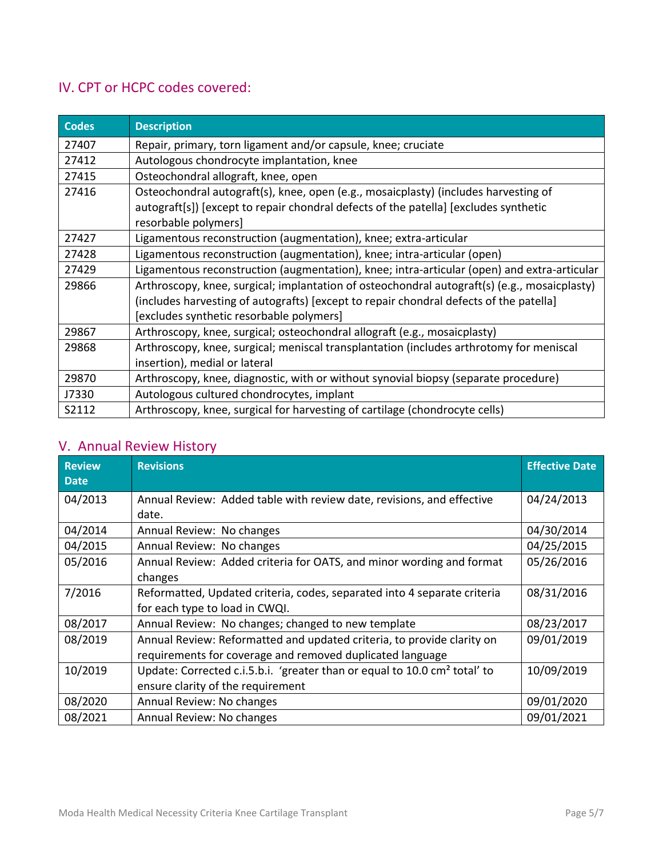# IV. CPT or HCPC codes covered:

| <b>Codes</b>                                                                         | <b>Description</b>                                                                           |  |  |
|--------------------------------------------------------------------------------------|----------------------------------------------------------------------------------------------|--|--|
| 27407                                                                                | Repair, primary, torn ligament and/or capsule, knee; cruciate                                |  |  |
| 27412                                                                                | Autologous chondrocyte implantation, knee                                                    |  |  |
| 27415                                                                                | Osteochondral allograft, knee, open                                                          |  |  |
| 27416                                                                                | Osteochondral autograft(s), knee, open (e.g., mosaicplasty) (includes harvesting of          |  |  |
| autograft[s]) [except to repair chondral defects of the patella] [excludes synthetic |                                                                                              |  |  |
|                                                                                      | resorbable polymers]                                                                         |  |  |
| 27427                                                                                | Ligamentous reconstruction (augmentation), knee; extra-articular                             |  |  |
| 27428                                                                                | Ligamentous reconstruction (augmentation), knee; intra-articular (open)                      |  |  |
| 27429                                                                                | Ligamentous reconstruction (augmentation), knee; intra-articular (open) and extra-articular  |  |  |
| 29866                                                                                | Arthroscopy, knee, surgical; implantation of osteochondral autograft(s) (e.g., mosaicplasty) |  |  |
|                                                                                      | (includes harvesting of autografts) [except to repair chondral defects of the patella]       |  |  |
|                                                                                      | [excludes synthetic resorbable polymers]                                                     |  |  |
| 29867                                                                                | Arthroscopy, knee, surgical; osteochondral allograft (e.g., mosaicplasty)                    |  |  |
| 29868                                                                                | Arthroscopy, knee, surgical; meniscal transplantation (includes arthrotomy for meniscal      |  |  |
|                                                                                      | insertion), medial or lateral                                                                |  |  |
| 29870                                                                                | Arthroscopy, knee, diagnostic, with or without synovial biopsy (separate procedure)          |  |  |
| J7330                                                                                | Autologous cultured chondrocytes, implant                                                    |  |  |
| S2112                                                                                | Arthroscopy, knee, surgical for harvesting of cartilage (chondrocyte cells)                  |  |  |

## V. Annual Review History

| <b>Review</b><br>Date | <b>Revisions</b>                                                                                                                    | <b>Effective Date</b> |
|-----------------------|-------------------------------------------------------------------------------------------------------------------------------------|-----------------------|
| 04/2013               | Annual Review: Added table with review date, revisions, and effective<br>date.                                                      | 04/24/2013            |
| 04/2014               | Annual Review: No changes                                                                                                           | 04/30/2014            |
| 04/2015               | Annual Review: No changes                                                                                                           | 04/25/2015            |
| 05/2016               | Annual Review: Added criteria for OATS, and minor wording and format<br>changes                                                     | 05/26/2016            |
| 7/2016                | Reformatted, Updated criteria, codes, separated into 4 separate criteria<br>for each type to load in CWQI.                          | 08/31/2016            |
| 08/2017               | Annual Review: No changes; changed to new template                                                                                  | 08/23/2017            |
| 08/2019               | Annual Review: Reformatted and updated criteria, to provide clarity on<br>requirements for coverage and removed duplicated language | 09/01/2019            |
| 10/2019               | Update: Corrected c.i.5.b.i. 'greater than or equal to 10.0 cm <sup>2</sup> total' to<br>ensure clarity of the requirement          | 10/09/2019            |
| 08/2020               | Annual Review: No changes                                                                                                           | 09/01/2020            |
| 08/2021               | Annual Review: No changes                                                                                                           | 09/01/2021            |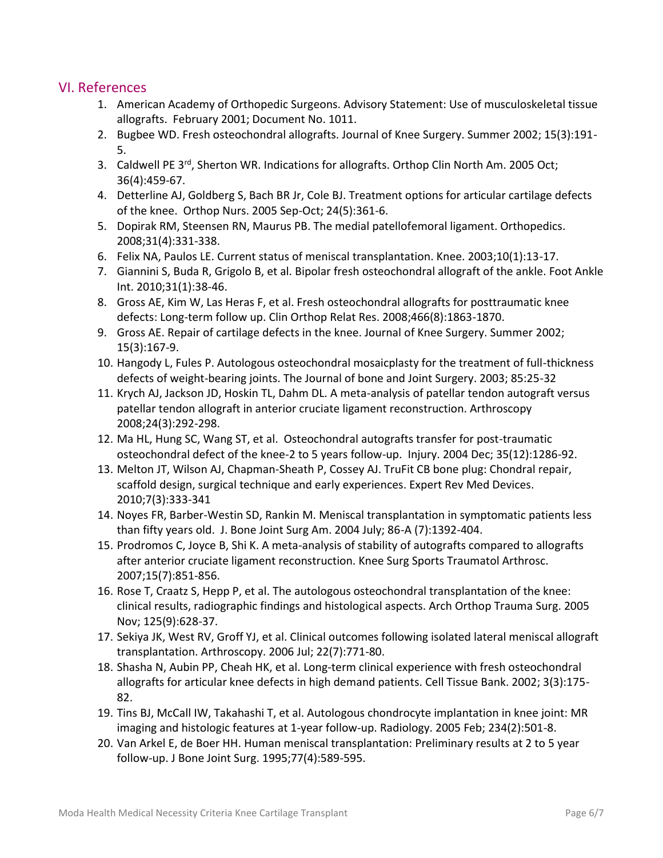### VI. References

- 1. American Academy of Orthopedic Surgeons. Advisory Statement: Use of musculoskeletal tissue allografts. February 2001; Document No. 1011.
- 2. Bugbee WD. Fresh osteochondral allografts. Journal of Knee Surgery. Summer 2002; 15(3):191- 5.
- 3. Caldwell PE 3<sup>rd</sup>, Sherton WR. Indications for allografts. Orthop Clin North Am. 2005 Oct; 36(4):459-67.
- 4. Detterline AJ, Goldberg S, Bach BR Jr, Cole BJ. Treatment options for articular cartilage defects of the knee. Orthop Nurs. 2005 Sep-Oct; 24(5):361-6.
- 5. Dopirak RM, Steensen RN, Maurus PB. The medial patellofemoral ligament. Orthopedics. 2008;31(4):331-338.
- 6. Felix NA, Paulos LE. Current status of meniscal transplantation. Knee. 2003;10(1):13-17.
- 7. Giannini S, Buda R, Grigolo B, et al. Bipolar fresh osteochondral allograft of the ankle. Foot Ankle Int. 2010;31(1):38-46.
- 8. Gross AE, Kim W, Las Heras F, et al. Fresh osteochondral allografts for posttraumatic knee defects: Long-term follow up. Clin Orthop Relat Res. 2008;466(8):1863-1870.
- 9. Gross AE. Repair of cartilage defects in the knee. Journal of Knee Surgery. Summer 2002; 15(3):167-9.
- 10. Hangody L, Fules P. Autologous osteochondral mosaicplasty for the treatment of full-thickness defects of weight-bearing joints. The Journal of bone and Joint Surgery. 2003; 85:25-32
- 11. Krych AJ, Jackson JD, Hoskin TL, Dahm DL. A meta-analysis of patellar tendon autograft versus patellar tendon allograft in anterior cruciate ligament reconstruction. Arthroscopy 2008;24(3):292-298.
- 12. Ma HL, Hung SC, Wang ST, et al. Osteochondral autografts transfer for post-traumatic osteochondral defect of the knee-2 to 5 years follow-up. Injury. 2004 Dec; 35(12):1286-92.
- 13. Melton JT, Wilson AJ, Chapman-Sheath P, Cossey AJ. TruFit CB bone plug: Chondral repair, scaffold design, surgical technique and early experiences. Expert Rev Med Devices. 2010;7(3):333-341
- 14. Noyes FR, Barber-Westin SD, Rankin M. Meniscal transplantation in symptomatic patients less than fifty years old. J. Bone Joint Surg Am. 2004 July; 86-A (7):1392-404.
- 15. Prodromos C, Joyce B, Shi K. A meta-analysis of stability of autografts compared to allografts after anterior cruciate ligament reconstruction. Knee Surg Sports Traumatol Arthrosc. 2007;15(7):851-856.
- 16. Rose T, Craatz S, Hepp P, et al. The autologous osteochondral transplantation of the knee: clinical results, radiographic findings and histological aspects. Arch Orthop Trauma Surg. 2005 Nov; 125(9):628-37.
- 17. Sekiya JK, West RV, Groff YJ, et al. Clinical outcomes following isolated lateral meniscal allograft transplantation. Arthroscopy. 2006 Jul; 22(7):771-80.
- 18. Shasha N, Aubin PP, Cheah HK, et al. Long-term clinical experience with fresh osteochondral allografts for articular knee defects in high demand patients. Cell Tissue Bank. 2002; 3(3):175- 82.
- 19. Tins BJ, McCall IW, Takahashi T, et al. Autologous chondrocyte implantation in knee joint: MR imaging and histologic features at 1-year follow-up. Radiology. 2005 Feb; 234(2):501-8.
- 20. Van Arkel E, de Boer HH. Human meniscal transplantation: Preliminary results at 2 to 5 year follow-up. J Bone Joint Surg. 1995;77(4):589-595.